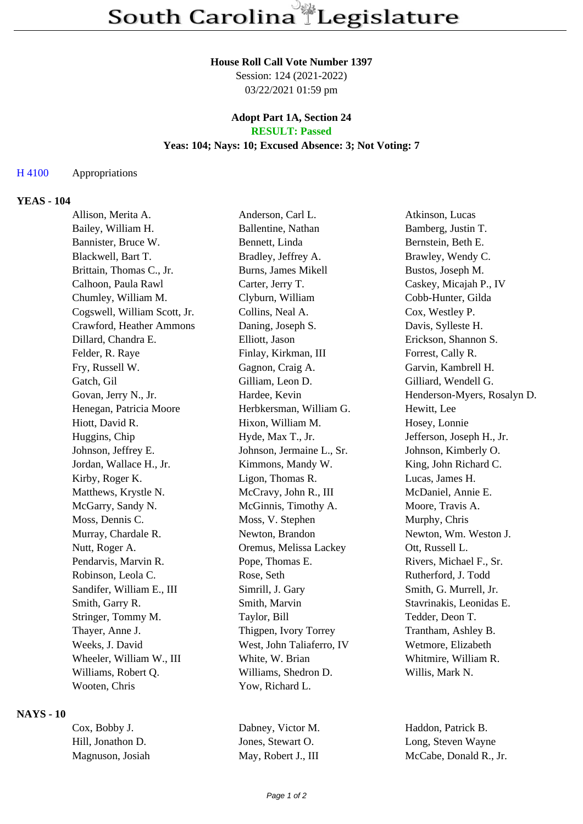# **House Roll Call Vote Number 1397**

Session: 124 (2021-2022) 03/22/2021 01:59 pm

#### **Adopt Part 1A, Section 24 RESULT: Passed**

# **Yeas: 104; Nays: 10; Excused Absence: 3; Not Voting: 7**

#### H 4100 Appropriations

### **YEAS - 104**

| Allison, Merita A.           | Anderson, Carl L.         | Atkinson, Lucas             |
|------------------------------|---------------------------|-----------------------------|
| Bailey, William H.           | Ballentine, Nathan        | Bamberg, Justin T.          |
| Bannister, Bruce W.          | Bennett, Linda            | Bernstein, Beth E.          |
| Blackwell, Bart T.           | Bradley, Jeffrey A.       | Brawley, Wendy C.           |
| Brittain, Thomas C., Jr.     | Burns, James Mikell       | Bustos, Joseph M.           |
| Calhoon, Paula Rawl          | Carter, Jerry T.          | Caskey, Micajah P., IV      |
| Chumley, William M.          | Clyburn, William          | Cobb-Hunter, Gilda          |
| Cogswell, William Scott, Jr. | Collins, Neal A.          | Cox, Westley P.             |
| Crawford, Heather Ammons     | Daning, Joseph S.         | Davis, Sylleste H.          |
| Dillard, Chandra E.          | Elliott, Jason            | Erickson, Shannon S.        |
| Felder, R. Raye              | Finlay, Kirkman, III      | Forrest, Cally R.           |
| Fry, Russell W.              | Gagnon, Craig A.          | Garvin, Kambrell H.         |
| Gatch, Gil                   | Gilliam, Leon D.          | Gilliard, Wendell G.        |
| Govan, Jerry N., Jr.         | Hardee, Kevin             | Henderson-Myers, Rosalyn D. |
| Henegan, Patricia Moore      | Herbkersman, William G.   | Hewitt, Lee                 |
| Hiott, David R.              | Hixon, William M.         | Hosey, Lonnie               |
| Huggins, Chip                | Hyde, Max T., Jr.         | Jefferson, Joseph H., Jr.   |
| Johnson, Jeffrey E.          | Johnson, Jermaine L., Sr. | Johnson, Kimberly O.        |
| Jordan, Wallace H., Jr.      | Kimmons, Mandy W.         | King, John Richard C.       |
| Kirby, Roger K.              | Ligon, Thomas R.          | Lucas, James H.             |
| Matthews, Krystle N.         | McCravy, John R., III     | McDaniel, Annie E.          |
| McGarry, Sandy N.            | McGinnis, Timothy A.      | Moore, Travis A.            |
| Moss, Dennis C.              | Moss, V. Stephen          | Murphy, Chris               |
| Murray, Chardale R.          | Newton, Brandon           | Newton, Wm. Weston J.       |
| Nutt, Roger A.               | Oremus, Melissa Lackey    | Ott, Russell L.             |
| Pendarvis, Marvin R.         | Pope, Thomas E.           | Rivers, Michael F., Sr.     |
| Robinson, Leola C.           | Rose, Seth                | Rutherford, J. Todd         |
| Sandifer, William E., III    | Simrill, J. Gary          | Smith, G. Murrell, Jr.      |
| Smith, Garry R.              | Smith, Marvin             | Stavrinakis, Leonidas E.    |
| Stringer, Tommy M.           | Taylor, Bill              | Tedder, Deon T.             |
| Thayer, Anne J.              | Thigpen, Ivory Torrey     | Trantham, Ashley B.         |
| Weeks, J. David              | West, John Taliaferro, IV | Wetmore, Elizabeth          |
| Wheeler, William W., III     | White, W. Brian           | Whitmire, William R.        |
| Williams, Robert Q.          | Williams, Shedron D.      | Willis, Mark N.             |
| Wooten, Chris                | Yow, Richard L.           |                             |
|                              |                           |                             |

### **NAYS - 10**

| Cox, Bobby J.     | Dabney, Victor M.   | Haddon, Patrick B.     |
|-------------------|---------------------|------------------------|
| Hill. Jonathon D. | Jones, Stewart O.   | Long, Steven Wayne     |
| Magnuson, Josiah  | May, Robert J., III | McCabe, Donald R., Jr. |